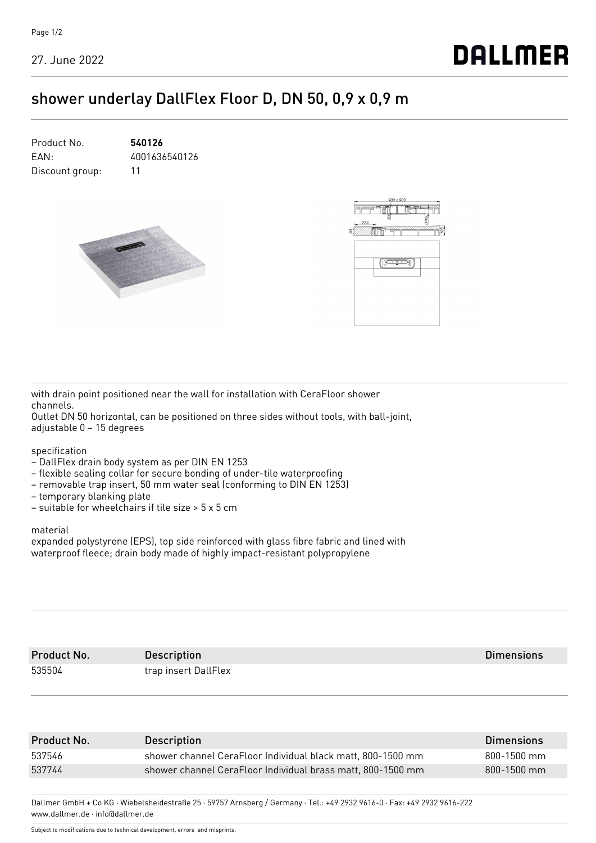27. June 2022

## **DALLMER**

## shower underlay DallFlex Floor D, DN 50, 0,9 x 0,9 m

| Product No.     | 540126        |
|-----------------|---------------|
| FAN:            | 4001636540126 |
| Discount group: | 11            |





with drain point positioned near the wall for installation with CeraFloor shower channels.

Outlet DN 50 horizontal, can be positioned on three sides without tools, with ball-joint, adjustable 0 – 15 degrees

specification

- DallFlex drain body system as per DIN EN 1253
- flexible sealing collar for secure bonding of under-tile waterproofing
- removable trap insert, 50 mm water seal (conforming to DIN EN 1253)
- temporary blanking plate
- suitable for wheelchairs if tile size > 5 x 5 cm

material

expanded polystyrene (EPS), top side reinforced with glass fibre fabric and lined with waterproof fleece; drain body made of highly impact-resistant polypropylene

| Product No. | <b>Description</b>   | <b>Dimensions</b> |
|-------------|----------------------|-------------------|
| 535504      | trap insert DallFlex |                   |

| Product No. | <b>Description</b>                                          | <b>Dimensions</b> |
|-------------|-------------------------------------------------------------|-------------------|
| 537546      | shower channel CeraFloor Individual black matt, 800-1500 mm | 800-1500 mm       |
| 537744      | shower channel CeraFloor Individual brass matt, 800-1500 mm | $800 - 1500$ mm   |
|             |                                                             |                   |

Dallmer GmbH + Co KG · Wiebelsheidestraße 25 · 59757 Arnsberg / Germany · Tel.: +49 2932 9616-0 · Fax: +49 2932 9616-222 www.dallmer.de · info@dallmer.de

Subject to modifications due to technical development, errors and misprints.